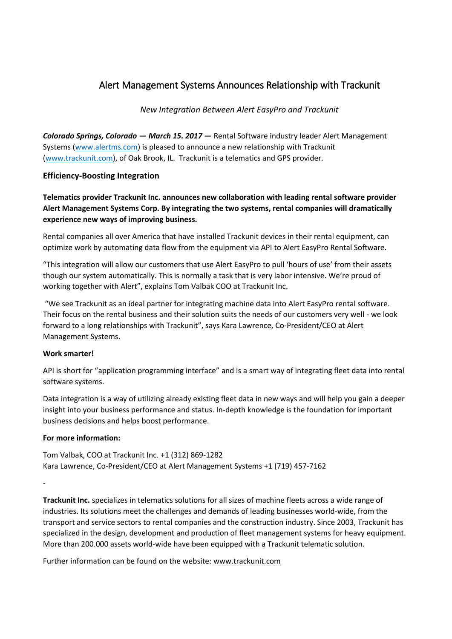## Alert Management Systems Announces Relationship with Trackunit

*New Integration Between Alert EasyPro and Trackunit*

*Colorado Springs, Colorado — March 15. 2017* **—** Rental Software industry leader Alert Management Systems [\(www.alertms.com\)](http://www.alertms.com/) is pleased to announce a new relationship with Trackunit [\(www.trackunit.com\)](http://www.trackunit.com/), of Oak Brook, IL. Trackunit is a telematics and GPS provider.

## **Efficiency-Boosting Integration**

**Telematics provider Trackunit Inc. announces new collaboration with leading rental software provider Alert Management Systems Corp. By integrating the two systems, rental companies will dramatically experience new ways of improving business.**

Rental companies all over America that have installed Trackunit devices in their rental equipment, can optimize work by automating data flow from the equipment via API to Alert EasyPro Rental Software.

"This integration will allow our customers that use Alert EasyPro to pull 'hours of use' from their assets though our system automatically. This is normally a task that is very labor intensive. We're proud of working together with Alert", explains Tom Valbak COO at Trackunit Inc.

"We see Trackunit as an ideal partner for integrating machine data into Alert EasyPro rental software. Their focus on the rental business and their solution suits the needs of our customers very well - we look forward to a long relationships with Trackunit", says Kara Lawrence, Co-President/CEO at Alert Management Systems.

## **Work smarter!**

API is short for "application programming interface" and is a smart way of integrating fleet data into rental software systems.

Data integration is a way of utilizing already existing fleet data in new ways and will help you gain a deeper insight into your business performance and status. In-depth knowledge is the foundation for important business decisions and helps boost performance.

## **For more information:**

Tom Valbak, COO at Trackunit Inc. +1 (312) 869-1282 Kara Lawrence, Co-President/CEO at Alert Management Systems +1 (719) 457-7162

-

**Trackunit Inc.** specializes in telematics solutions for all sizes of machine fleets across a wide range of industries. Its solutions meet the challenges and demands of leading businesses world-wide, from the transport and service sectors to rental companies and the construction industry. Since 2003, Trackunit has specialized in the design, development and production of fleet management systems for heavy equipment. More than 200.000 assets world-wide have been equipped with a Trackunit telematic solution.

Further information can be found on the website: www.trackunit.com